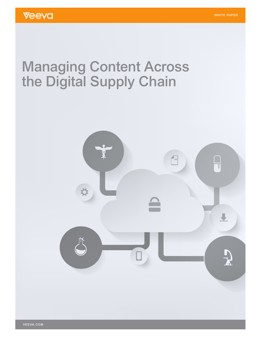# Managing Content Across the Digital Supply Chain

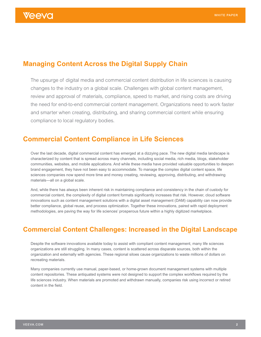# **Managing Content Across the Digital Supply Chain**

The upsurge of digital media and commercial content distribution in life sciences is causing changes to the industry on a global scale. Challenges with global content management, review and approval of materials, compliance, speed to market, and rising costs are driving the need for end-to-end commercial content management. Organizations need to work faster and smarter when creating, distributing, and sharing commercial content while ensuring compliance to local regulatory bodies.

## **Commercial Content Compliance in Life Sciences**

Over the last decade, digital commercial content has emerged at a dizzying pace. The new digital media landscape is characterized by content that is spread across many channels, including social media, rich media, blogs, stakeholder communities, websites, and mobile applications. And while these media have provided valuable opportunities to deepen brand engagement, they have not been easy to accommodate. To manage the complex digital content space, life sciences companies now spend more time and money creating, reviewing, approving, distributing, and withdrawing materials—all on a global scale.

And, while there has always been inherent risk in maintaining compliance and consistency in the chain of custody for commercial content, the complexity of digital content formats significantly increases that risk. However, cloud software innovations such as content management solutions with a digital asset management (DAM) capability can now provide better compliance, global reuse, and process optimization. Together these innovations, paired with rapid deployment methodologies, are paving the way for life sciences' prosperous future within a highly digitized marketplace.

# **Commercial Content Challenges: Increased in the Digital Landscape**

Despite the software innovations available today to assist with compliant content management, many life sciences organizations are still struggling. In many cases, content is scattered across disparate sources, both within the organization and externally with agencies. These regional siloes cause organizations to waste millions of dollars on recreating materials.

Many companies currently use manual, paper-based, or home-grown document management systems with multiple content repositories. These antiquated systems were not designed to support the complex workflows required by the life sciences industry. When materials are promoted and withdrawn manually, companies risk using incorrect or retired content in the field.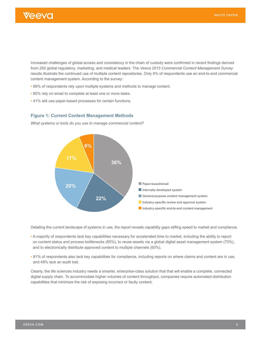

Increased challenges of global access and consistency in the chain of custody were confirmed in recent findings derived from 250 global regulatory, marketing, and medical leaders. The *Veeva 2015 Commercial Content Management Survey* results illustrate the continued use of multiple content repositories. Only 6% of respondents use an end-to-end commercial content management system. According to the survey:

- 89% of respondents rely upon multiple systems and methods to manage content.
- 60% rely on email to complete at least one or more tasks.
- 41% still use paper-based processes for certain functions.

### **Figure 1: Current Content Management Methods**

*What systems or tools do you use to manage commercial content?*



Detailing the current landscape of systems in use, the report reveals capability gaps stifling speed to market and compliance.

- A majority of respondents lack key capabilities necessary for accelerated time to market, including the ability to report on content status and process bottlenecks (85%), to reuse assets via a global digital asset management system (70%), and to electronically distribute approved content to multiple channels (60%).
- 81% of respondents also lack key capabilities for compliance, including reports on where claims and content are in use, and 49% lack an audit trail.

Clearly, the life sciences industry needs a smarter, enterprise-class solution that that will enable a complete, connected digital supply chain. To accommodate higher volumes of content throughput, companies require automated distribution capabilities that minimize the risk of exposing incorrect or faulty content.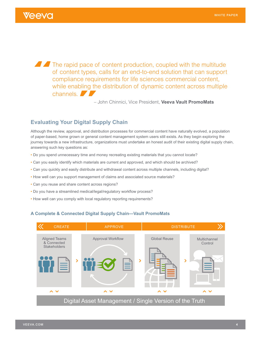The rapid pace of content production, coupled with the multitude of content types, calls for an end-to-end solution that can support compliance requirements for life sciences commercial content, while enabling the distribution of dynamic content across multiple channels.

– John Chinnici, Vice President, **Veeva Vault PromoMats**

## **Evaluating Your Digital Supply Chain**

Although the review, approval, and distribution processes for commercial content have naturally evolved, a population of paper-based, home grown or general content management system users still exists. As they begin exploring the journey towards a new infrastructure, organizations must undertake an honest audit of their existing digital supply chain, answering such key questions as:

- Do you spend unnecessary time and money recreating existing materials that you cannot locate?
- Can you easily identify which materials are current and approved, and which should be archived?
- Can you quickly and easily distribute and withdrawal content across multiple channels, including digital?
- How well can you support management of claims and associated source materials?
- Can you reuse and share content across regions?
- Do you have a streamlined medical/legal/regulatory workflow process?
- How well can you comply with local regulatory reporting requirements?

## **A Complete & Connected Digital Supply Chain—Vault PromoMats**

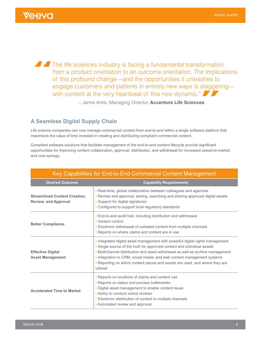**The life sciences industry is facing a fundamental transformation** from a product orientation to an outcome orientation. The implications of this profound change—and the opportunities it unleashes to engage customers and patients in entirely new ways is staggering with content at the very heartbeat of this new dynamic."

– Jamie Antis, Managing Director, **Accenture Life Sciences**

## **A Seamless Digital Supply Chain**

Life science companies can now manage commercial content from end-to-end within a single software platform that maximizes the value of time invested in creating and distributing compliant commercial content.

Compliant software solutions that facilitate management of the end-to-end content lifecycle provide significant opportunities for improving content collaboration, approval, distribution, and withdrawal for increased speed-to-market and cost savings.

| Key Capabilities for End-to-End Commercial Content Management       |                                                                                                                                                                                                                                                                                                                                                                                                                 |
|---------------------------------------------------------------------|-----------------------------------------------------------------------------------------------------------------------------------------------------------------------------------------------------------------------------------------------------------------------------------------------------------------------------------------------------------------------------------------------------------------|
| <b>Desired Outcome</b>                                              | <b>Capability Requirements</b>                                                                                                                                                                                                                                                                                                                                                                                  |
| <b>Streamlined Content Creation,</b><br><b>Review, and Approval</b> | • Real-time, global collaboration between colleagues and agencies<br>• Review and approval, storing, searching and sharing approved digital assets<br>• Support for digital signatures<br>• Configured to support local regulatory standards                                                                                                                                                                    |
| <b>Better Compliance</b>                                            | • End-to-end audit trail, including distribution and withdrawal<br>• Version control<br>• Electronic withdrawal of outdated content from multiple channels<br>• Reports on where claims and content are in use                                                                                                                                                                                                  |
| <b>Effective Digital</b><br><b>Asset Management</b>                 | . Integrated digital asset management with powerful digital rights management<br>• Single source of the truth for approved content and individual assets<br>• Multichannel distribution and asset withdrawal as well as archive management<br>. Integration to CRM, social media, and web content management systems<br>. Reporting on which content pieces and assets are used, and where they are<br>utilized |
| <b>Accelerated Time to Market</b>                                   | • Reports on locations of claims and content use<br>• Reports on status and process bottlenecks<br>. Digital asset management to enable content reuse<br>• Ability to conduct online reviews<br>• Electronic distribution of content to multiple channels<br>• Automated review and approval                                                                                                                    |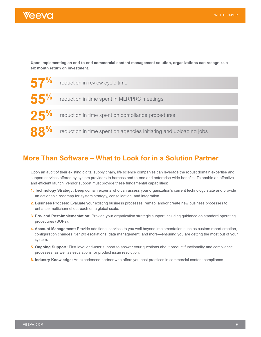

**Upon implementing an end-to-end commercial content management solution, organizations can recognize a six month return on investment.**



# **More Than Software – What to Look for in a Solution Partner**

Upon an audit of their existing digital supply chain, life science companies can leverage the robust domain expertise and support services offered by system providers to harness end-to-end and enterprise-wide benefits. To enable an effective and efficient launch, vendor support must provide these fundamental capabilities:

- **1. Technology Strategy:** Deep domain experts who can assess your organization's current technology state and provide an actionable roadmap for system strategy, consolidation, and integration.
- **2. Business Process:** Evaluate your existing business processes, remap, and/or create new business processes to enhance multichannel outreach on a global scale.
- **3. Pre- and Post-implementation:** Provide your organization strategic support including guidance on standard operating procedures (SOPs).
- **4. Account Management:** Provide additional services to you well beyond implementation such as custom report creation, configuration changes, tier 2/3 escalations, data management, and more—ensuring you are getting the most out of your system.
- **5. Ongoing Support:** First level end-user support to answer your questions about product functionality and compliance processes, as well as escalations for product issue resolution.
- **6. Industry Knowledge:** An experienced partner who offers you best practices in commercial content compliance.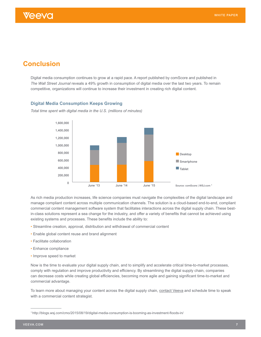# **Conclusion**

Digital media consumption continues to grow at a rapid pace. A report published by comScore and published in *The Wall Street Journal* reveals a 49% growth in consumption of digital media over the last two years. To remain competitive, organizations will continue to increase their investment in creating rich digital content.

## **Digital Media Consumption Keeps Growing**



*Total time spent with digital media in the U.S. (millions of minutes)*

As rich media production increases, life science companies must navigate the complexities of the digital landscape and manage compliant content across multiple communication channels. The solution is a cloud-based end-to-end, compliant commercial content management software system that facilitates interactions across the digital supply chain. These bestin-class solutions represent a sea change for the industry, and offer a variety of benefits that cannot be achieved using existing systems and processes. These benefits include the ability to:

- Streamline creation, approval, distribution and withdrawal of commercial content
- Enable global content reuse and brand alignment
- Facilitate collaboration
- Enhance compliance
- Improve speed to market

Now is the time to evaluate your digital supply chain, and to simplify and accelerate critical time-to-market processes, comply with regulation and improve productivity and efficiency. By streamlining the digital supply chain, companies can decrease costs while creating global efficiencies, becoming more agile and gaining significant time-to-market and commercial advantage.

To learn more about managing your content across the digital supply chain, [contact Veeva](https://www.veeva.com/contact-us/) and schedule time to speak with a commercial content strategist.

<sup>1</sup> http://blogs.wsj.com/cmo/2015/08/19/digital-media-consumption-is-booming-as-investment-floods-in/